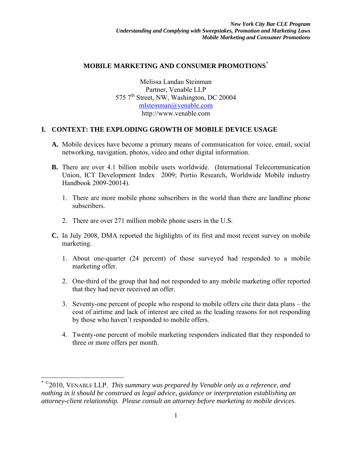#### **MOBILE MARKETING AND CONSUMER PROMOTIONS**\*

Melissa Landau Steinman Partner, Venable LLP 575 7<sup>th</sup> Street, NW, Washington, DC 20004 mlsteinman@venable.com http://www.venable.com

### **I. CONTEXT: THE EXPLODING GROWTH OF MOBILE DEVICE USAGE**

- **A.** Mobile devices have become a primary means of communication for voice, email, social networking, navigation, photos, video and other digital information.
- **B.** There are over 4.1 billion mobile users worldwide. (International Telecommunication Union, ICT Development Index 2009; Portio Research, Worldwide Mobile industry Handbook 2009-20014).
	- 1. There are more mobile phone subscribers in the world than there are landline phone subscribers.
	- 2. There are over 271 million mobile phone users in the U.S.
- **C.** In July 2008, DMA reported the highlights of its first and most recent survey on mobile marketing.
	- 1. About one-quarter (24 percent) of those surveyed had responded to a mobile marketing offer.
	- 2. One-third of the group that had not responded to any mobile marketing offer reported that they had never received an offer.
	- 3. Seventy-one percent of people who respond to mobile offers cite their data plans the cost of airtime and lack of interest are cited as the leading reasons for not responding by those who haven't responded to mobile offers.
	- 4. Twenty-one percent of mobile marketing responders indicated that they responded to three or more offers per month.

 $\overline{a}$ 

<sup>\*</sup> ©2010, VENABLE LLP. *This summary was prepared by Venable only as a reference, and nothing in it should be construed as legal advice, guidance or interpretation establishing an attorney-client relationship. Please consult an attorney before marketing to mobile devices.*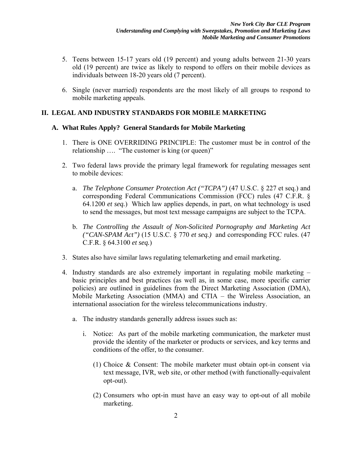- 5. Teens between 15-17 years old (19 percent) and young adults between 21-30 years old (19 percent) are twice as likely to respond to offers on their mobile devices as individuals between 18-20 years old (7 percent).
- 6. Single (never married) respondents are the most likely of all groups to respond to mobile marketing appeals.

# **II. LEGAL AND INDUSTRY STANDARDS FOR MOBILE MARKETING**

### **A. What Rules Apply? General Standards for Mobile Marketing**

- 1. There is ONE OVERRIDING PRINCIPLE: The customer must be in control of the relationship …. "The customer is king (or queen)"
- 2. Two federal laws provide the primary legal framework for regulating messages sent to mobile devices:
	- a. *The Telephone Consumer Protection Act ("TCPA")* (47 U.S.C. § 227 et seq.) and corresponding Federal Communications Commission (FCC) rules (47 C.F.R. § 64.1200 *et seq.*)Which law applies depends, in part, on what technology is used to send the messages, but most text message campaigns are subject to the TCPA.
	- b. *The Controlling the Assault of Non-Solicited Pornography and Marketing Act ("CAN-SPAM Act")* (15 U.S.C. § 770 *et seq.)* and corresponding FCC rules. (47 C.F.R. § 64.3100 *et seq.*)
- 3. States also have similar laws regulating telemarketing and email marketing.
- 4. Industry standards are also extremely important in regulating mobile marketing basic principles and best practices (as well as, in some case, more specific carrier policies) are outlined in guidelines from the Direct Marketing Association (DMA), Mobile Marketing Association (MMA) and CTIA – the Wireless Association, an international association for the wireless telecommunications industry.
	- a. The industry standards generally address issues such as:
		- i. Notice: As part of the mobile marketing communication, the marketer must provide the identity of the marketer or products or services, and key terms and conditions of the offer, to the consumer.
			- (1) Choice & Consent: The mobile marketer must obtain opt-in consent via text message, IVR, web site, or other method (with functionally-equivalent opt-out).
			- (2) Consumers who opt-in must have an easy way to opt-out of all mobile marketing.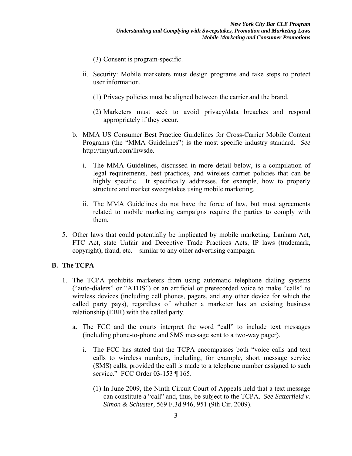- (3) Consent is program-specific.
- ii. Security: Mobile marketers must design programs and take steps to protect user information.
	- (1) Privacy policies must be aligned between the carrier and the brand.
	- (2) Marketers must seek to avoid privacy/data breaches and respond appropriately if they occur.
- b. MMA US Consumer Best Practice Guidelines for Cross-Carrier Mobile Content Programs (the "MMA Guidelines") is the most specific industry standard. *See*  http://tinyurl.com/lhwsde.
	- i. The MMA Guidelines, discussed in more detail below, is a compilation of legal requirements, best practices, and wireless carrier policies that can be highly specific. It specifically addresses, for example, how to properly structure and market sweepstakes using mobile marketing.
	- ii. The MMA Guidelines do not have the force of law, but most agreements related to mobile marketing campaigns require the parties to comply with them.
- 5. Other laws that could potentially be implicated by mobile marketing: Lanham Act, FTC Act, state Unfair and Deceptive Trade Practices Acts, IP laws (trademark, copyright), fraud, etc. – similar to any other advertising campaign.

# **B. The TCPA**

- 1. The TCPA prohibits marketers from using automatic telephone dialing systems ("auto-dialers" or "ATDS") or an artificial or prerecorded voice to make "calls" to wireless devices (including cell phones, pagers, and any other device for which the called party pays), regardless of whether a marketer has an existing business relationship (EBR) with the called party.
	- a. The FCC and the courts interpret the word "call" to include text messages (including phone-to-phone and SMS message sent to a two-way pager).
		- i. The FCC has stated that the TCPA encompasses both "voice calls and text calls to wireless numbers, including, for example, short message service (SMS) calls, provided the call is made to a telephone number assigned to such service." FCC Order 03-153 ¶ 165.
			- (1) In June 2009, the Ninth Circuit Court of Appeals held that a text message can constitute a "call" and, thus, be subject to the TCPA. *See Satterfield v. Simon & Schuster,* 569 F.3d 946, 951 (9th Cir. 2009).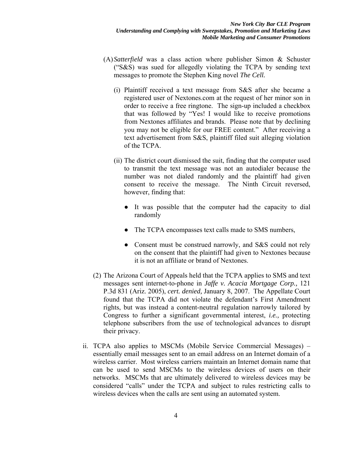- (A) *Satterfield* was a class action where publisher Simon & Schuster ("S&S) was sued for allegedly violating the TCPA by sending text messages to promote the Stephen King novel *The Cell.* 
	- (i) Plaintiff received a text message from S&S after she became a registered user of Nextones.com at the request of her minor son in order to receive a free ringtone. The sign-up included a checkbox that was followed by "Yes! I would like to receive promotions from Nextones affiliates and brands. Please note that by declining you may not be eligible for our FREE content." After receiving a text advertisement from S&S, plaintiff filed suit alleging violation of the TCPA.
	- (ii) The district court dismissed the suit, finding that the computer used to transmit the text message was not an autodialer because the number was not dialed randomly and the plaintiff had given consent to receive the message. The Ninth Circuit reversed, however, finding that:
		- It was possible that the computer had the capacity to dial randomly
		- The TCPA encompasses text calls made to SMS numbers,
		- Consent must be construed narrowly, and S&S could not rely on the consent that the plaintiff had given to Nextones because it is not an affiliate or brand of Nextones.
- (2) The Arizona Court of Appeals held that the TCPA applies to SMS and text messages sent internet-to-phone in *Jaffe v. Acacia Mortgage Corp.,* 121 P.3d 831 (Ariz. 2005), *cert. denied,* January 8, 2007. The Appellate Court found that the TCPA did not violate the defendant's First Amendment rights, but was instead a content-neutral regulation narrowly tailored by Congress to further a significant governmental interest, *i.e.,* protecting telephone subscribers from the use of technological advances to disrupt their privacy.
- ii. TCPA also applies to MSCMs (Mobile Service Commercial Messages) essentially email messages sent to an email address on an Internet domain of a wireless carrier. Most wireless carriers maintain an Internet domain name that can be used to send MSCMs to the wireless devices of users on their networks. MSCMs that are ultimately delivered to wireless devices may be considered "calls" under the TCPA and subject to rules restricting calls to wireless devices when the calls are sent using an automated system.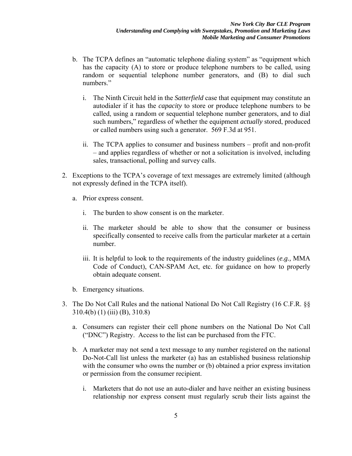- b. The TCPA defines an "automatic telephone dialing system" as "equipment which has the capacity (A) to store or produce telephone numbers to be called, using random or sequential telephone number generators, and (B) to dial such numbers."
	- i. The Ninth Circuit held in the *Satterfield* case that equipment may constitute an autodialer if it has the *capacity* to store or produce telephone numbers to be called, using a random or sequential telephone number generators, and to dial such numbers," regardless of whether the equipment *actually* stored, produced or called numbers using such a generator. 569 F.3d at 951.
	- ii. The TCPA applies to consumer and business numbers profit and non-profit – and applies regardless of whether or not a solicitation is involved, including sales, transactional, polling and survey calls.
- 2. Exceptions to the TCPA's coverage of text messages are extremely limited (although not expressly defined in the TCPA itself).
	- a. Prior express consent.
		- i. The burden to show consent is on the marketer.
		- ii. The marketer should be able to show that the consumer or business specifically consented to receive calls from the particular marketer at a certain number.
		- iii. It is helpful to look to the requirements of the industry guidelines (*e.g.,* MMA Code of Conduct), CAN-SPAM Act, etc. for guidance on how to properly obtain adequate consent.
	- b. Emergency situations.
- 3. The Do Not Call Rules and the national National Do Not Call Registry (16 C.F.R. §§ 310.4(b) (1) (iii) (B), 310.8)
	- a. Consumers can register their cell phone numbers on the National Do Not Call ("DNC") Registry. Access to the list can be purchased from the FTC.
	- b. A marketer may not send a text message to any number registered on the national Do-Not-Call list unless the marketer (a) has an established business relationship with the consumer who owns the number or (b) obtained a prior express invitation or permission from the consumer recipient.
		- i. Marketers that do not use an auto-dialer and have neither an existing business relationship nor express consent must regularly scrub their lists against the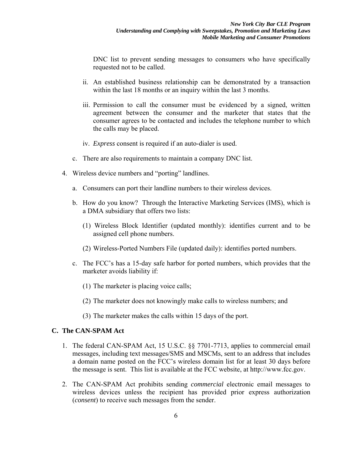DNC list to prevent sending messages to consumers who have specifically requested not to be called.

- ii. An established business relationship can be demonstrated by a transaction within the last 18 months or an inquiry within the last 3 months.
- iii. Permission to call the consumer must be evidenced by a signed, written agreement between the consumer and the marketer that states that the consumer agrees to be contacted and includes the telephone number to which the calls may be placed.
- iv. *Express* consent is required if an auto-dialer is used.
- c. There are also requirements to maintain a company DNC list.
- 4. Wireless device numbers and "porting" landlines.
	- a. Consumers can port their landline numbers to their wireless devices.
	- b. How do you know? Through the Interactive Marketing Services (IMS), which is a DMA subsidiary that offers two lists:
		- (1) Wireless Block Identifier (updated monthly): identifies current and to be assigned cell phone numbers.
		- (2) Wireless-Ported Numbers File (updated daily): identifies ported numbers.
	- c. The FCC's has a 15-day safe harbor for ported numbers, which provides that the marketer avoids liability if:
		- (1) The marketer is placing voice calls;
		- (2) The marketer does not knowingly make calls to wireless numbers; and
		- (3) The marketer makes the calls within 15 days of the port.

# **C. The CAN-SPAM Act**

- 1. The federal CAN-SPAM Act, 15 U.S.C. §§ 7701-7713, applies to commercial email messages, including text messages/SMS and MSCMs, sent to an address that includes a domain name posted on the FCC's wireless domain list for at least 30 days before the message is sent. This list is available at the FCC website, at http://www.fcc.gov.
- 2. The CAN-SPAM Act prohibits sending *commercial* electronic email messages to wireless devices unless the recipient has provided prior express authorization (*consent*) to receive such messages from the sender.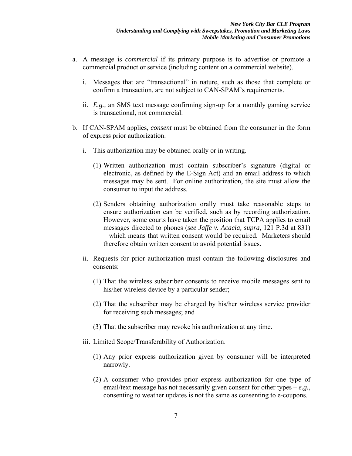- a. A message is *commercial* if its primary purpose is to advertise or promote a commercial product or service (including content on a commercial website).
	- i. Messages that are "transactional" in nature, such as those that complete or confirm a transaction, are not subject to CAN-SPAM's requirements.
	- ii. *E.g.,* an SMS text message confirming sign-up for a monthly gaming service is transactional, not commercial.
- b. If CAN-SPAM applies, *consent* must be obtained from the consumer in the form of express prior authorization.
	- i. This authorization may be obtained orally or in writing.
		- (1) Written authorization must contain subscriber's signature (digital or electronic, as defined by the E-Sign Act) and an email address to which messages may be sent. For online authorization, the site must allow the consumer to input the address.
		- (2) Senders obtaining authorization orally must take reasonable steps to ensure authorization can be verified, such as by recording authorization. However, some courts have taken the position that TCPA applies to email messages directed to phones (*see Jaffe v. Acacia, supra,* 121 P.3d at 831) – which means that written consent would be required. Marketers should therefore obtain written consent to avoid potential issues.
	- ii. Requests for prior authorization must contain the following disclosures and consents:
		- (1) That the wireless subscriber consents to receive mobile messages sent to his/her wireless device by a particular sender;
		- (2) That the subscriber may be charged by his/her wireless service provider for receiving such messages; and
		- (3) That the subscriber may revoke his authorization at any time.
	- iii. Limited Scope/Transferability of Authorization.
		- (1) Any prior express authorization given by consumer will be interpreted narrowly.
		- (2) A consumer who provides prior express authorization for one type of email/text message has not necessarily given consent for other types  $-e.g.,$ consenting to weather updates is not the same as consenting to e-coupons.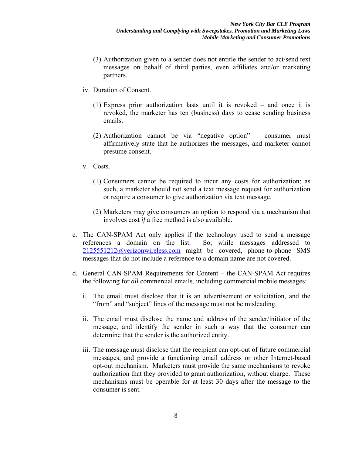- (3) Authorization given to a sender does not entitle the sender to act/send text messages on behalf of third parties, even affiliates and/or marketing partners.
- iv. Duration of Consent.
	- (1) Express prior authorization lasts until it is revoked and once it is revoked, the marketer has ten (business) days to cease sending business emails.
	- (2) Authorization cannot be via "negative option" consumer must affirmatively state that he authorizes the messages, and marketer cannot presume consent.
- v. Costs.
	- (1) Consumers cannot be required to incur any costs for authorization; as such, a marketer should not send a text message request for authorization or require a consumer to give authorization via text message.
	- (2) Marketers may give consumers an option to respond via a mechanism that involves cost *if* a free method is also available.
- c. The CAN-SPAM Act only applies if the technology used to send a message references a domain on the list. So, while messages addressed to 2125551212@verizonwireless.com might be covered, phone-to-phone SMS messages that do not include a reference to a domain name are not covered.
- d. General CAN-SPAM Requirements for Content the CAN-SPAM Act requires the following for *all* commercial emails, including commercial mobile messages:
	- i. The email must disclose that it is an advertisement or solicitation, and the "from" and "subject" lines of the message must not be misleading.
	- ii. The email must disclose the name and address of the sender/initiator of the message, and identify the sender in such a way that the consumer can determine that the sender is the authorized entity.
	- iii. The message must disclose that the recipient can opt-out of future commercial messages, and provide a functioning email address or other Internet-based opt-out mechanism. Marketers must provide the same mechanisms to revoke authorization that they provided to grant authorization, without charge. These mechanisms must be operable for at least 30 days after the message to the consumer is sent.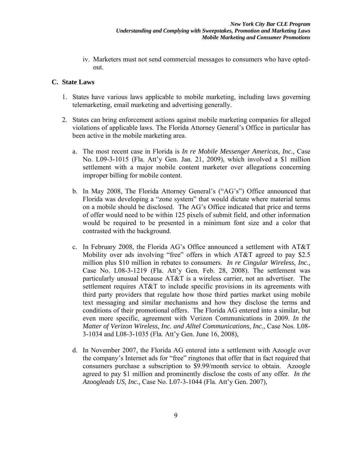iv. Marketers must not send commercial messages to consumers who have optedout.

### **C. State Laws**

- 1. States have various laws applicable to mobile marketing, including laws governing telemarketing, email marketing and advertising generally.
- 2. States can bring enforcement actions against mobile marketing companies for alleged violations of applicable laws. The Florida Attorney General's Office in particular has been active in the mobile marketing area.
	- a. The most recent case in Florida is *In re Mobile Messenger Americas, Inc.,* Case No. L09-3-1015 (Fla. Att'y Gen. Jan. 21, 2009), which involved a \$1 million settlement with a major mobile content marketer over allegations concerning improper billing for mobile content.
	- b. In May 2008, The Florida Attorney General's ("AG's") Office announced that Florida was developing a "zone system" that would dictate where material terms on a mobile should be disclosed. The AG's Office indicated that price and terms of offer would need to be within 125 pixels of submit field, and other information would be required to be presented in a minimum font size and a color that contrasted with the background.
	- c. In February 2008, the Florida AG's Office announced a settlement with AT&T Mobility over ads involving "free" offers in which AT&T agreed to pay \$2.5 million plus \$10 million in rebates to consumers. *In re Cingular Wireless, Inc.,* Case No. L08-3-1219 (Fla. Att'y Gen. Feb. 28, 2008). The settlement was particularly unusual because AT&T is a wireless carrier, not an advertiser. The settlement requires AT&T to include specific provisions in its agreements with third party providers that regulate how those third parties market using mobile text messaging and similar mechanisms and how they disclose the terms and conditions of their promotional offers. The Florida AG entered into a similar, but even more specific, agreement with Verizon Communications in 2009. *In the Matter of Verizon Wireless, Inc. and Alltel Communications, Inc.,* Case Nos. L08- 3-1034 and L08-3-1035 (Fla. Att'y Gen. June 16, 2008),
	- d. In November 2007, the Florida AG entered into a settlement with Azoogle over the company's Internet ads for "free" ringtones that offer that in fact required that consumers purchase a subscription to \$9.99/month service to obtain. Azoogle agreed to pay \$1 million and prominently disclose the costs of any offer. *In the Azoogleads US, Inc.,* Case No. L07-3-1044 (Fla. Att'y Gen. 2007),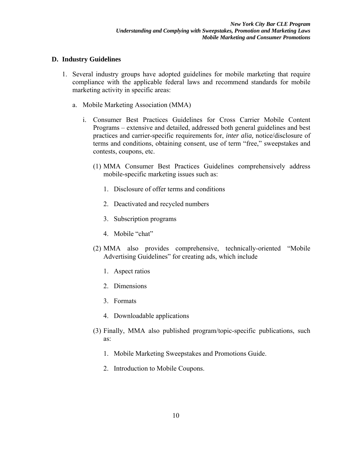## **D. Industry Guidelines**

- 1. Several industry groups have adopted guidelines for mobile marketing that require compliance with the applicable federal laws and recommend standards for mobile marketing activity in specific areas:
	- a. Mobile Marketing Association (MMA)
		- i. Consumer Best Practices Guidelines for Cross Carrier Mobile Content Programs – extensive and detailed, addressed both general guidelines and best practices and carrier-specific requirements for, *inter alia,* notice/disclosure of terms and conditions, obtaining consent, use of term "free," sweepstakes and contests, coupons, etc.
			- (1) MMA Consumer Best Practices Guidelines comprehensively address mobile-specific marketing issues such as:
				- 1. Disclosure of offer terms and conditions
				- 2. Deactivated and recycled numbers
				- 3. Subscription programs
				- 4. Mobile "chat"
			- (2) MMA also provides comprehensive, technically-oriented "Mobile Advertising Guidelines" for creating ads, which include
				- 1. Aspect ratios
				- 2. Dimensions
				- 3. Formats
				- 4. Downloadable applications
			- (3) Finally, MMA also published program/topic-specific publications, such as:
				- 1. Mobile Marketing Sweepstakes and Promotions Guide.
				- 2. Introduction to Mobile Coupons.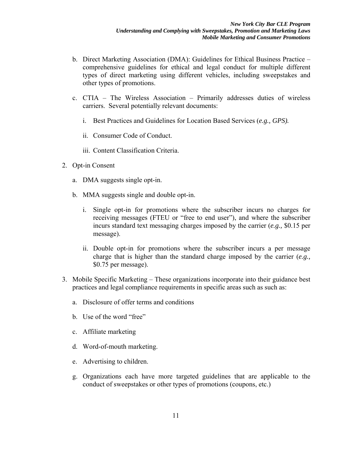- b. Direct Marketing Association (DMA): Guidelines for Ethical Business Practice comprehensive guidelines for ethical and legal conduct for multiple different types of direct marketing using different vehicles, including sweepstakes and other types of promotions.
- c. CTIA The Wireless Association Primarily addresses duties of wireless carriers. Several potentially relevant documents:
	- i. Best Practices and Guidelines for Location Based Services (*e.g., GPS).*
	- ii. Consumer Code of Conduct.
	- iii. Content Classification Criteria.
- 2. Opt-in Consent
	- a. DMA suggests single opt-in.
	- b. MMA suggests single and double opt-in.
		- i. Single opt-in for promotions where the subscriber incurs no charges for receiving messages (FTEU or "free to end user"), and where the subscriber incurs standard text messaging charges imposed by the carrier (*e.g.,* \$0.15 per message).
		- ii. Double opt-in for promotions where the subscriber incurs a per message charge that is higher than the standard charge imposed by the carrier (*e.g.,* \$0.75 per message).
- 3. Mobile Specific Marketing These organizations incorporate into their guidance best practices and legal compliance requirements in specific areas such as such as:
	- a. Disclosure of offer terms and conditions
	- b. Use of the word "free"
	- c. Affiliate marketing
	- d. Word-of-mouth marketing.
	- e. Advertising to children.
	- g. Organizations each have more targeted guidelines that are applicable to the conduct of sweepstakes or other types of promotions (coupons, etc.)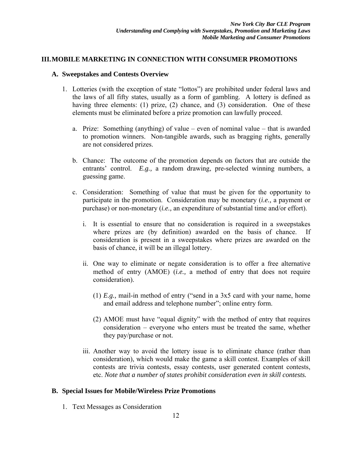### **III.MOBILE MARKETING IN CONNECTION WITH CONSUMER PROMOTIONS**

### **A. Sweepstakes and Contests Overview**

- 1. Lotteries (with the exception of state "lottos") are prohibited under federal laws and the laws of all fifty states, usually as a form of gambling. A lottery is defined as having three elements: (1) prize, (2) chance, and (3) consideration. One of these elements must be eliminated before a prize promotion can lawfully proceed.
	- a. Prize: Something (anything) of value even of nominal value that is awarded to promotion winners. Non-tangible awards, such as bragging rights, generally are not considered prizes.
	- b. Chance: The outcome of the promotion depends on factors that are outside the entrants' control. *E.g.,* a random drawing, pre-selected winning numbers, a guessing game.
	- c. Consideration: Something of value that must be given for the opportunity to participate in the promotion. Consideration may be monetary (*i.e.,* a payment or purchase) or non-monetary (*i.e.,* an expenditure of substantial time and/or effort).
		- i. It is essential to ensure that no consideration is required in a sweepstakes where prizes are (by definition) awarded on the basis of chance. If consideration is present in a sweepstakes where prizes are awarded on the basis of chance, it will be an illegal lottery.
		- ii. One way to eliminate or negate consideration is to offer a free alternative method of entry (AMOE) (*i.e.,* a method of entry that does not require consideration).
			- (1) *E.g.,* mail-in method of entry ("send in a 3x5 card with your name, home and email address and telephone number"; online entry form.
			- (2) AMOE must have "equal dignity" with the method of entry that requires consideration – everyone who enters must be treated the same, whether they pay/purchase or not.
		- iii. Another way to avoid the lottery issue is to eliminate chance (rather than consideration), which would make the game a skill contest. Examples of skill contests are trivia contests, essay contests, user generated content contests, etc. *Note that a number of states prohibit consideration even in skill contests.*

### **B. Special Issues for Mobile/Wireless Prize Promotions**

1. Text Messages as Consideration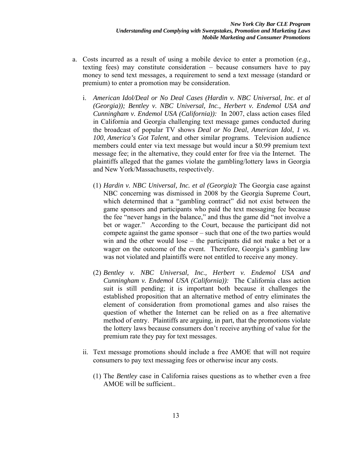- a. Costs incurred as a result of using a mobile device to enter a promotion (*e.g.,* texting fees) may constitute consideration – because consumers have to pay money to send text messages, a requirement to send a text message (standard or premium) to enter a promotion may be consideration.
	- i. *American Idol/Deal or No Deal Cases (Hardin v. NBC Universal, Inc. et al (Georgia)); Bentley v. NBC Universal, Inc., Herbert v. Endemol USA and Cunningham v. Endemol USA (California)):* In 2007, class action cases filed in California and Georgia challenging text message games conducted during the broadcast of popular TV shows *Deal or No Deal*, *American Idol*, *1 vs. 100*, *America's Got Talent*, and other similar programs. Television audience members could enter via text message but would incur a \$0.99 premium text message fee; in the alternative, they could enter for free via the Internet. The plaintiffs alleged that the games violate the gambling/lottery laws in Georgia and New York/Massachusetts, respectively.
		- (1) *Hardin v. NBC Universal, Inc. et al (Georgia):* The Georgia case against NBC concerning was dismissed in 2008 by the Georgia Supreme Court, which determined that a "gambling contract" did not exist between the game sponsors and participants who paid the text messaging fee because the fee "never hangs in the balance," and thus the game did "not involve a bet or wager." According to the Court, because the participant did not compete against the game sponsor – such that one of the two parties would win and the other would lose – the participants did not make a bet or a wager on the outcome of the event. Therefore, Georgia's gambling law was not violated and plaintiffs were not entitled to receive any money.
		- (2) *Bentley v. NBC Universal, Inc., Herbert v. Endemol USA and Cunningham v. Endemol USA (California)):* The California class action suit is still pending; it is important both because it challenges the established proposition that an alternative method of entry eliminates the element of consideration from promotional games and also raises the question of whether the Internet can be relied on as a free alternative method of entry. Plaintiffs are arguing, in part, that the promotions violate the lottery laws because consumers don't receive anything of value for the premium rate they pay for text messages.
	- ii. Text message promotions should include a free AMOE that will not require consumers to pay text messaging fees or otherwise incur any costs.
		- (1) The *Bentley* case in California raises questions as to whether even a free AMOE will be sufficient..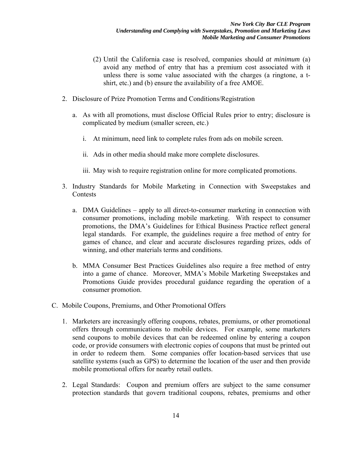- (2) Until the California case is resolved, companies should *at minimum* (a) avoid any method of entry that has a premium cost associated with it unless there is some value associated with the charges (a ringtone, a tshirt, etc.) and (b) ensure the availability of a free AMOE.
- 2. Disclosure of Prize Promotion Terms and Conditions/Registration
	- a. As with all promotions, must disclose Official Rules prior to entry; disclosure is complicated by medium (smaller screen, etc.)
		- i. At minimum, need link to complete rules from ads on mobile screen.
		- ii. Ads in other media should make more complete disclosures.
		- iii. May wish to require registration online for more complicated promotions.
- 3. Industry Standards for Mobile Marketing in Connection with Sweepstakes and Contests
	- a. DMA Guidelines apply to all direct-to-consumer marketing in connection with consumer promotions, including mobile marketing. With respect to consumer promotions, the DMA's Guidelines for Ethical Business Practice reflect general legal standards. For example, the guidelines require a free method of entry for games of chance, and clear and accurate disclosures regarding prizes, odds of winning, and other materials terms and conditions.
	- b. MMA Consumer Best Practices Guidelines also require a free method of entry into a game of chance. Moreover, MMA's Mobile Marketing Sweepstakes and Promotions Guide provides procedural guidance regarding the operation of a consumer promotion.
- C. Mobile Coupons, Premiums, and Other Promotional Offers
	- 1. Marketers are increasingly offering coupons, rebates, premiums, or other promotional offers through communications to mobile devices. For example, some marketers send coupons to mobile devices that can be redeemed online by entering a coupon code, or provide consumers with electronic copies of coupons that must be printed out in order to redeem them. Some companies offer location-based services that use satellite systems (such as GPS) to determine the location of the user and then provide mobile promotional offers for nearby retail outlets.
	- 2. Legal Standards: Coupon and premium offers are subject to the same consumer protection standards that govern traditional coupons, rebates, premiums and other